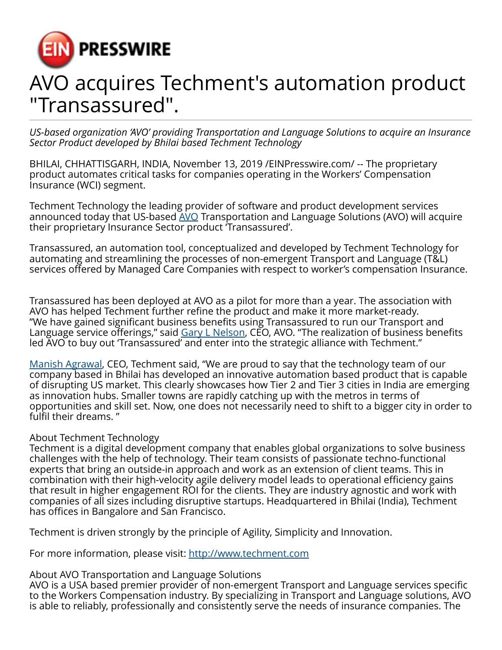

## AVO acquires Techment's automation product "Transassured".

*US-based organization 'AVO' providing Transportation and Language Solutions to acquire an Insurance Sector Product developed by Bhilai based Techment Technology*

BHILAI, CHHATTISGARH, INDIA, November 13, 2019 /[EINPresswire.com](http://www.einpresswire.com)/ -- The proprietary product automates critical tasks for companies operating in the Workers' Compensation Insurance (WCI) segment.

Techment Technology the leading provider of software and product development services announced today that US-based [AVO](http://www.chooseavo.com/) Transportation and Language Solutions (AVO) will acquire their proprietary Insurance Sector product 'Transassured'.

Transassured, an automation tool, conceptualized and developed by Techment Technology for automating and streamlining the processes of non-emergent Transport and Language (T&L) services offered by Managed Care Companies with respect to worker's compensation Insurance.

Transassured has been deployed at AVO as a pilot for more than a year. The association with AVO has helped Techment further refine the product and make it more market-ready. "We have gained significant business benefits using Transassured to run our Transport and Language service offerings," said [Gary L Nelson,](https://www.linkedin.com/in/gary-l-nelson-rn-ccm-325bbb5/) CEO, AVO. "The realization of business benefits led AVO to buy out 'Transassured' and enter into the strategic alliance with Techment."

[Manish Agrawal,](https://www.linkedin.com/in/manish-techment/) CEO, Techment said, "We are proud to say that the technology team of our company based in Bhilai has developed an innovative automation based product that is capable of disrupting US market. This clearly showcases how Tier 2 and Tier 3 cities in India are emerging as innovation hubs. Smaller towns are rapidly catching up with the metros in terms of opportunities and skill set. Now, one does not necessarily need to shift to a bigger city in order to fulfil their dreams. "

## About Techment Technology

Techment is a digital development company that enables global organizations to solve business challenges with the help of technology. Their team consists of passionate techno-functional experts that bring an outside-in approach and work as an extension of client teams. This in combination with their high-velocity agile delivery model leads to operational efficiency gains that result in higher engagement ROI for the clients. They are industry agnostic and work with companies of all sizes including disruptive startups. Headquartered in Bhilai (India), Techment has offices in Bangalore and San Francisco.

Techment is driven strongly by the principle of Agility, Simplicity and Innovation.

For more information, please visit:<http://www.techment.com>

## About AVO Transportation and Language Solutions

AVO is a USA based premier provider of non-emergent Transport and Language services specific to the Workers Compensation industry. By specializing in Transport and Language solutions, AVO is able to reliably, professionally and consistently serve the needs of insurance companies. The